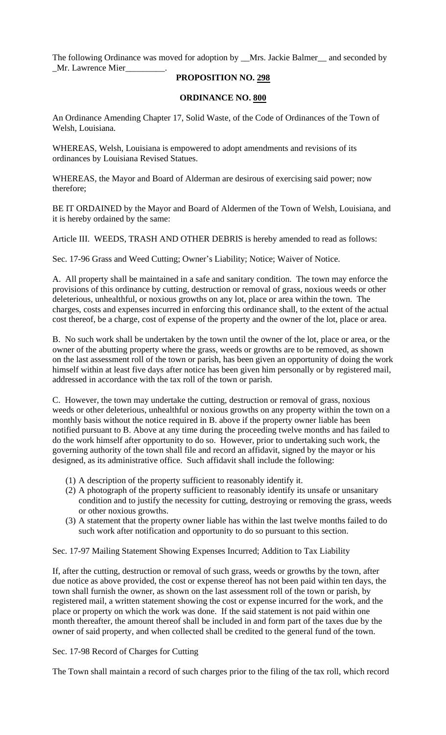The following Ordinance was moved for adoption by \_\_Mrs. Jackie Balmer\_\_ and seconded by \_Mr. Lawrence Mier\_\_\_\_\_\_\_\_\_.

# **PROPOSITION NO. 298**

# **ORDINANCE NO. 800**

An Ordinance Amending Chapter 17, Solid Waste, of the Code of Ordinances of the Town of Welsh, Louisiana.

WHEREAS, Welsh, Louisiana is empowered to adopt amendments and revisions of its ordinances by Louisiana Revised Statues.

WHEREAS, the Mayor and Board of Alderman are desirous of exercising said power; now therefore;

BE IT ORDAINED by the Mayor and Board of Aldermen of the Town of Welsh, Louisiana, and it is hereby ordained by the same:

Article III. WEEDS, TRASH AND OTHER DEBRIS is hereby amended to read as follows:

Sec. 17-96 Grass and Weed Cutting; Owner's Liability; Notice; Waiver of Notice.

A. All property shall be maintained in a safe and sanitary condition. The town may enforce the provisions of this ordinance by cutting, destruction or removal of grass, noxious weeds or other deleterious, unhealthful, or noxious growths on any lot, place or area within the town. The charges, costs and expenses incurred in enforcing this ordinance shall, to the extent of the actual cost thereof, be a charge, cost of expense of the property and the owner of the lot, place or area.

B. No such work shall be undertaken by the town until the owner of the lot, place or area, or the owner of the abutting property where the grass, weeds or growths are to be removed, as shown on the last assessment roll of the town or parish, has been given an opportunity of doing the work himself within at least five days after notice has been given him personally or by registered mail, addressed in accordance with the tax roll of the town or parish.

C. However, the town may undertake the cutting, destruction or removal of grass, noxious weeds or other deleterious, unhealthful or noxious growths on any property within the town on a monthly basis without the notice required in B. above if the property owner liable has been notified pursuant to B. Above at any time during the proceeding twelve months and has failed to do the work himself after opportunity to do so. However, prior to undertaking such work, the governing authority of the town shall file and record an affidavit, signed by the mayor or his designed, as its administrative office. Such affidavit shall include the following:

- (1) A description of the property sufficient to reasonably identify it.
- (2) A photograph of the property sufficient to reasonably identify its unsafe or unsanitary condition and to justify the necessity for cutting, destroying or removing the grass, weeds or other noxious growths.
- (3) A statement that the property owner liable has within the last twelve months failed to do such work after notification and opportunity to do so pursuant to this section.

Sec. 17-97 Mailing Statement Showing Expenses Incurred; Addition to Tax Liability

If, after the cutting, destruction or removal of such grass, weeds or growths by the town, after due notice as above provided, the cost or expense thereof has not been paid within ten days, the town shall furnish the owner, as shown on the last assessment roll of the town or parish, by registered mail, a written statement showing the cost or expense incurred for the work, and the place or property on which the work was done. If the said statement is not paid within one month thereafter, the amount thereof shall be included in and form part of the taxes due by the owner of said property, and when collected shall be credited to the general fund of the town.

## Sec. 17-98 Record of Charges for Cutting

The Town shall maintain a record of such charges prior to the filing of the tax roll, which record